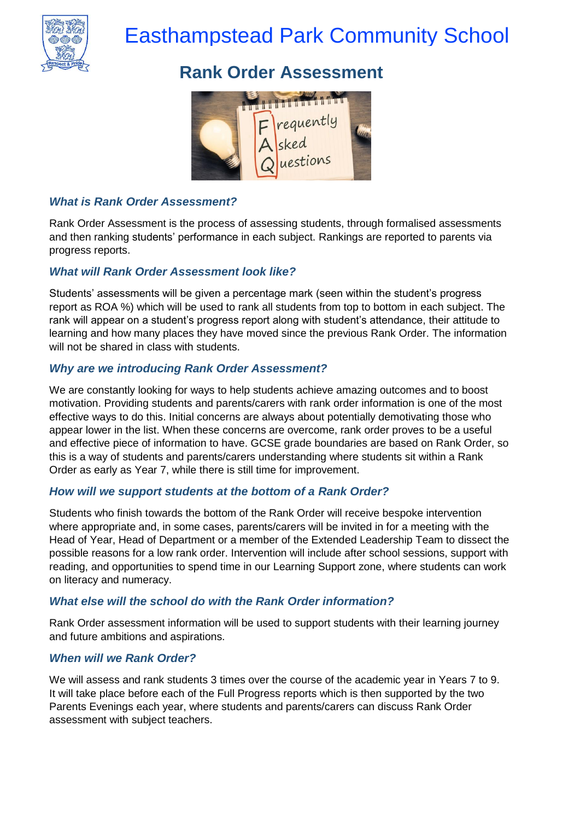

# Easthampstead Park Community School

# **Rank Order Assessment**



# *What is Rank Order Assessment?*

Rank Order Assessment is the process of assessing students, through formalised assessments and then ranking students' performance in each subject. Rankings are reported to parents via progress reports.

## *What will Rank Order Assessment look like?*

Students' assessments will be given a percentage mark (seen within the student's progress report as ROA %) which will be used to rank all students from top to bottom in each subject. The rank will appear on a student's progress report along with student's attendance, their attitude to learning and how many places they have moved since the previous Rank Order. The information will not be shared in class with students.

#### *Why are we introducing Rank Order Assessment?*

We are constantly looking for ways to help students achieve amazing outcomes and to boost motivation. Providing students and parents/carers with rank order information is one of the most effective ways to do this. Initial concerns are always about potentially demotivating those who appear lower in the list. When these concerns are overcome, rank order proves to be a useful and effective piece of information to have. GCSE grade boundaries are based on Rank Order, so this is a way of students and parents/carers understanding where students sit within a Rank Order as early as Year 7, while there is still time for improvement.

#### *How will we support students at the bottom of a Rank Order?*

Students who finish towards the bottom of the Rank Order will receive bespoke intervention where appropriate and, in some cases, parents/carers will be invited in for a meeting with the Head of Year, Head of Department or a member of the Extended Leadership Team to dissect the possible reasons for a low rank order. Intervention will include after school sessions, support with reading, and opportunities to spend time in our Learning Support zone, where students can work on literacy and numeracy.

#### *What else will the school do with the Rank Order information?*

Rank Order assessment information will be used to support students with their learning journey and future ambitions and aspirations.

#### *When will we Rank Order?*

We will assess and rank students 3 times over the course of the academic year in Years 7 to 9. It will take place before each of the Full Progress reports which is then supported by the two Parents Evenings each year, where students and parents/carers can discuss Rank Order assessment with subject teachers.